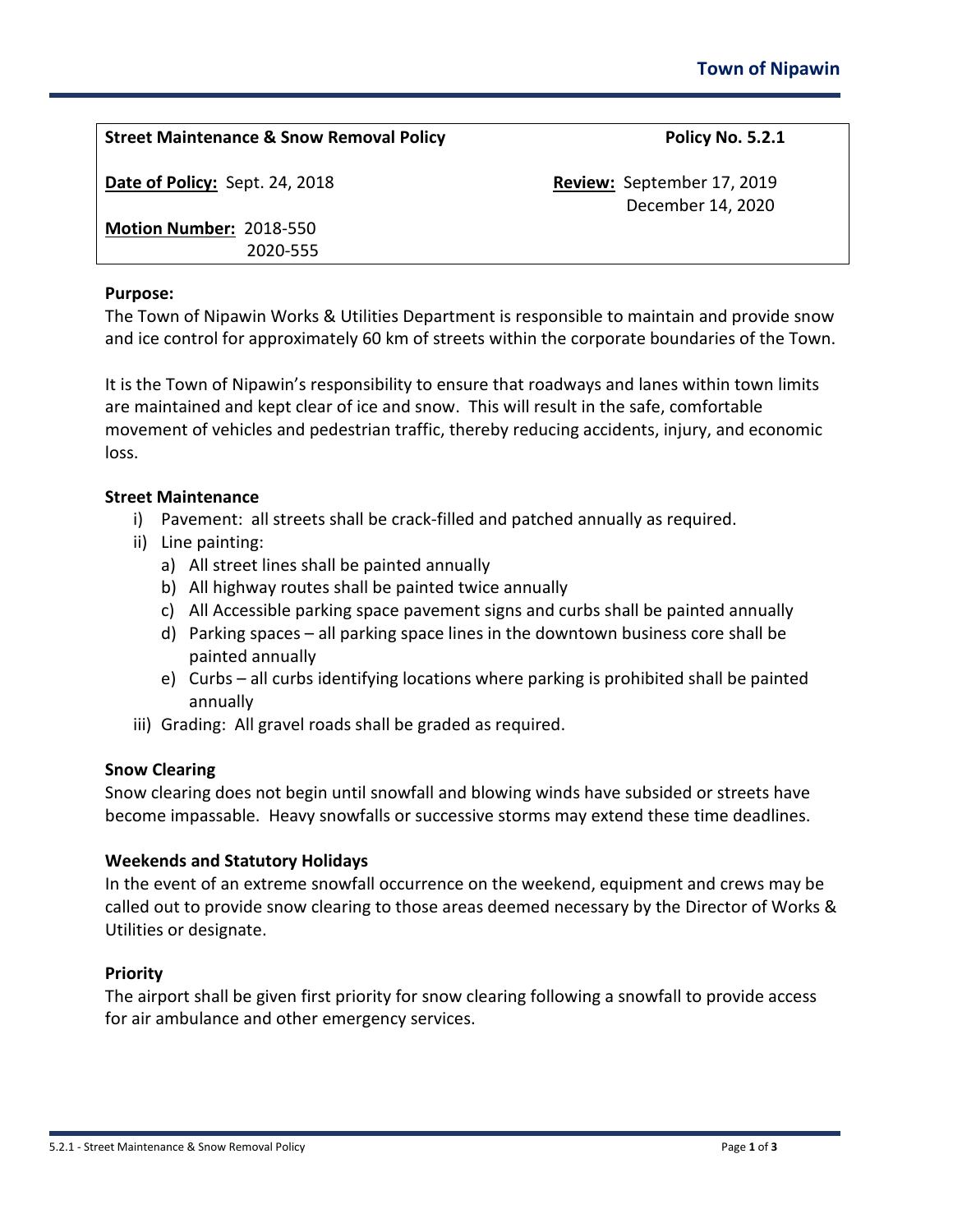| <b>Street Maintenance &amp; Snow Removal Policy</b> | Policy No. 5.2.1           |
|-----------------------------------------------------|----------------------------|
| Date of Policy: Sept. 24, 2018                      | Review: September 17, 2019 |
|                                                     | December 14, 2020          |
| Motion Number: 2018-550                             |                            |
| 2020-555                                            |                            |
|                                                     |                            |

#### **Purpose:**

The Town of Nipawin Works & Utilities Department is responsible to maintain and provide snow and ice control for approximately 60 km of streets within the corporate boundaries of the Town.

It is the Town of Nipawin's responsibility to ensure that roadways and lanes within town limits are maintained and kept clear of ice and snow. This will result in the safe, comfortable movement of vehicles and pedestrian traffic, thereby reducing accidents, injury, and economic loss.

## **Street Maintenance**

- i) Pavement: all streets shall be crack-filled and patched annually as required.
- ii) Line painting:
	- a) All street lines shall be painted annually
	- b) All highway routes shall be painted twice annually
	- c) All Accessible parking space pavement signs and curbs shall be painted annually
	- d) Parking spaces all parking space lines in the downtown business core shall be painted annually
	- e) Curbs all curbs identifying locations where parking is prohibited shall be painted annually
- iii) Grading: All gravel roads shall be graded as required.

## **Snow Clearing**

Snow clearing does not begin until snowfall and blowing winds have subsided or streets have become impassable. Heavy snowfalls or successive storms may extend these time deadlines.

## **Weekends and Statutory Holidays**

In the event of an extreme snowfall occurrence on the weekend, equipment and crews may be called out to provide snow clearing to those areas deemed necessary by the Director of Works & Utilities or designate.

## **Priority**

The airport shall be given first priority for snow clearing following a snowfall to provide access for air ambulance and other emergency services.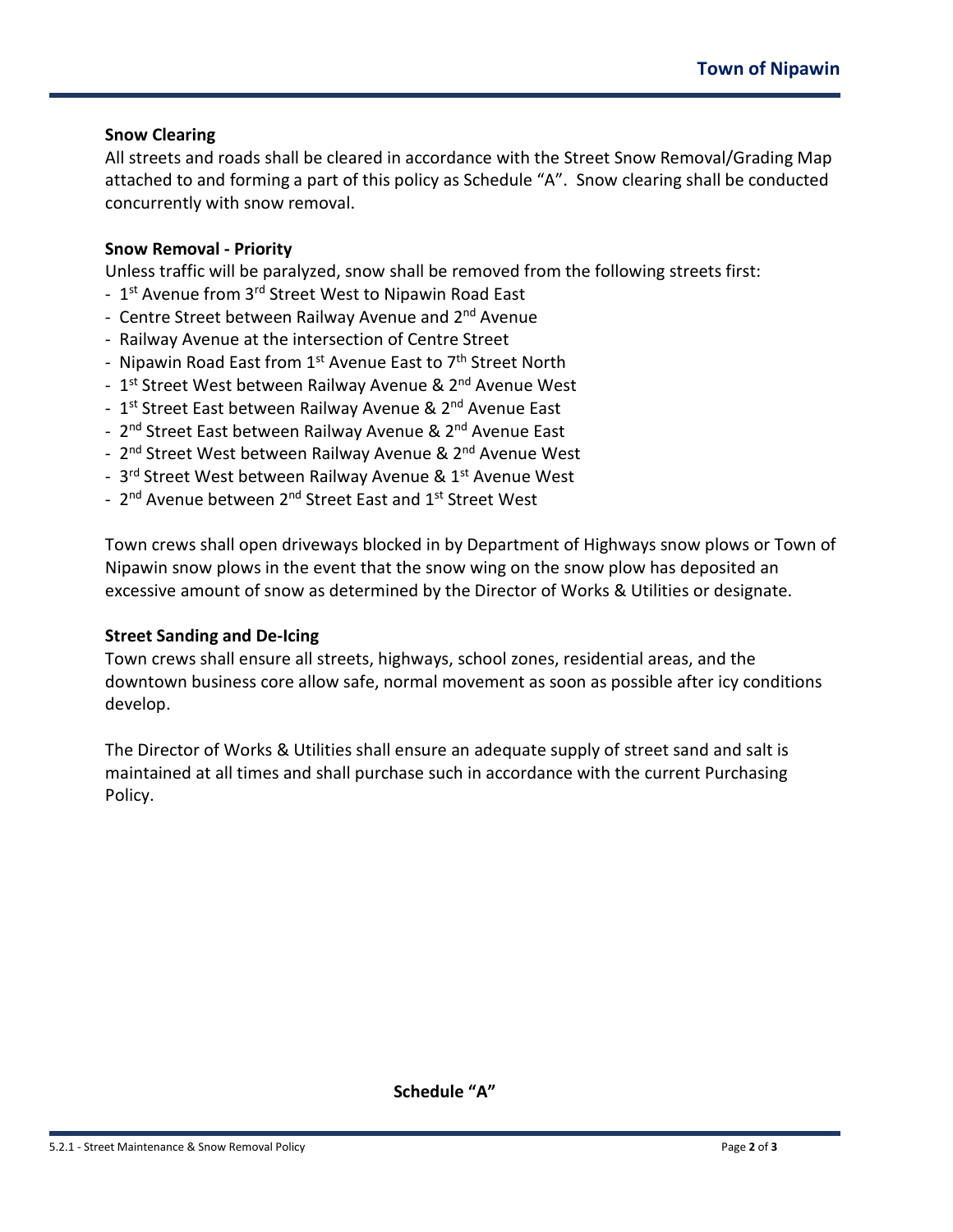## **Snow Clearing**

All streets and roads shall be cleared in accordance with the Street Snow Removal/Grading Map attached to and forming a part of this policy as Schedule "A". Snow clearing shall be conducted concurrently with snow removal.

## **Snow Removal - Priority**

Unless traffic will be paralyzed, snow shall be removed from the following streets first:

- 1<sup>st</sup> Avenue from 3<sup>rd</sup> Street West to Nipawin Road East
- Centre Street between Railway Avenue and 2<sup>nd</sup> Avenue
- Railway Avenue at the intersection of Centre Street
- Nipawin Road East from 1<sup>st</sup> Avenue East to 7<sup>th</sup> Street North
- 1<sup>st</sup> Street West between Railway Avenue & 2<sup>nd</sup> Avenue West
- 1<sup>st</sup> Street East between Railway Avenue & 2<sup>nd</sup> Avenue East
- 2<sup>nd</sup> Street East between Railway Avenue & 2<sup>nd</sup> Avenue East
- 2<sup>nd</sup> Street West between Railway Avenue & 2<sup>nd</sup> Avenue West
- 3<sup>rd</sup> Street West between Railway Avenue & 1<sup>st</sup> Avenue West
- 2<sup>nd</sup> Avenue between 2<sup>nd</sup> Street East and 1<sup>st</sup> Street West

Town crews shall open driveways blocked in by Department of Highways snow plows or Town of Nipawin snow plows in the event that the snow wing on the snow plow has deposited an excessive amount of snow as determined by the Director of Works & Utilities or designate.

## **Street Sanding and De-Icing**

Town crews shall ensure all streets, highways, school zones, residential areas, and the downtown business core allow safe, normal movement as soon as possible after icy conditions develop.

The Director of Works & Utilities shall ensure an adequate supply of street sand and salt is maintained at all times and shall purchase such in accordance with the current Purchasing Policy.

**Schedule "A"**